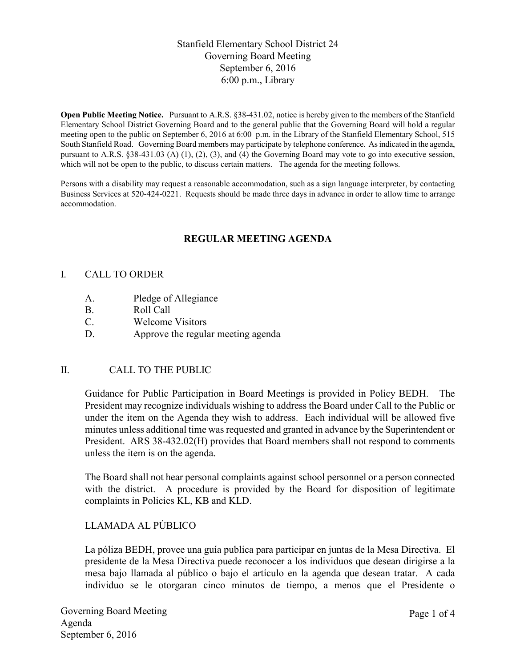# Stanfield Elementary School District 24 Governing Board Meeting September 6, 2016 6:00 p.m., Library

**Open Public Meeting Notice.** Pursuant to A.R.S. §38-431.02, notice is hereby given to the members of the Stanfield Elementary School District Governing Board and to the general public that the Governing Board will hold a regular meeting open to the public on September 6, 2016 at 6:00 p.m. in the Library of the Stanfield Elementary School, 515 South Stanfield Road. Governing Board members may participate by telephone conference. As indicated in the agenda, pursuant to A.R.S. §38-431.03 (A) (1), (2), (3), and (4) the Governing Board may vote to go into executive session, which will not be open to the public, to discuss certain matters. The agenda for the meeting follows.

Persons with a disability may request a reasonable accommodation, such as a sign language interpreter, by contacting Business Services at 520-424-0221. Requests should be made three days in advance in order to allow time to arrange accommodation.

# **REGULAR MEETING AGENDA**

#### I. CALL TO ORDER

- A. Pledge of Allegiance
- B. Roll Call
- C. Welcome Visitors
- D. Approve the regular meeting agenda

## II. CALL TO THE PUBLIC

Guidance for Public Participation in Board Meetings is provided in Policy BEDH. The President may recognize individuals wishing to address the Board under Call to the Public or under the item on the Agenda they wish to address. Each individual will be allowed five minutes unless additional time was requested and granted in advance by the Superintendent or President. ARS 38-432.02(H) provides that Board members shall not respond to comments unless the item is on the agenda.

The Board shall not hear personal complaints against school personnel or a person connected with the district. A procedure is provided by the Board for disposition of legitimate complaints in Policies KL, KB and KLD.

# LLAMADA AL PÚBLICO

La póliza BEDH, provee una guía publica para participar en juntas de la Mesa Directiva. El presidente de la Mesa Directiva puede reconocer a los individuos que desean dirigirse a la mesa bajo llamada al público o bajo el artículo en la agenda que desean tratar. A cada individuo se le otorgaran cinco minutos de tiempo, a menos que el Presidente o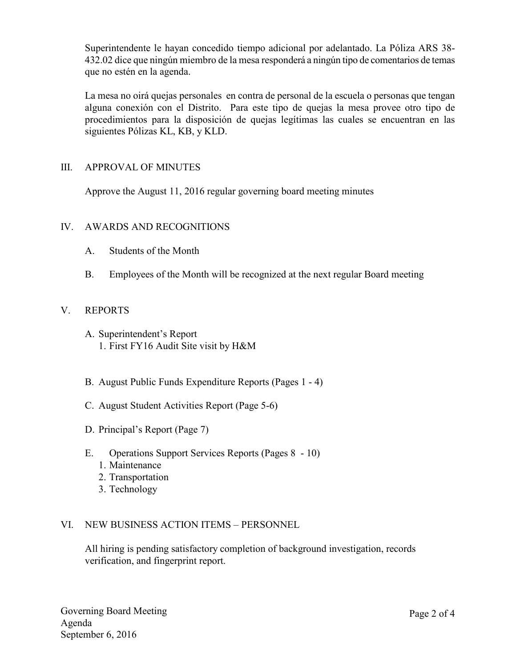Superintendente le hayan concedido tiempo adicional por adelantado. La Póliza ARS 38- 432.02 dice que ningún miembro de la mesa responderá a ningún tipo de comentarios de temas que no estén en la agenda.

La mesa no oirá quejas personales en contra de personal de la escuela o personas que tengan alguna conexión con el Distrito. Para este tipo de quejas la mesa provee otro tipo de procedimientos para la disposición de quejas legítimas las cuales se encuentran en las siguientes Pólizas KL, KB, y KLD.

### III. APPROVAL OF MINUTES

Approve the August 11, 2016 regular governing board meeting minutes

### IV. AWARDS AND RECOGNITIONS

- A. Students of the Month
- B. Employees of the Month will be recognized at the next regular Board meeting

### V. REPORTS

- A. Superintendent's Report 1. First FY16 Audit Site visit by H&M
- B. August Public Funds Expenditure Reports (Pages 1 4)
- C. August Student Activities Report (Page 5-6)
- D. Principal's Report (Page 7)
- E. Operations Support Services Reports (Pages 8 10)
	- 1. Maintenance
	- 2. Transportation
	- 3. Technology

#### VI. NEW BUSINESS ACTION ITEMS – PERSONNEL

All hiring is pending satisfactory completion of background investigation, records verification, and fingerprint report.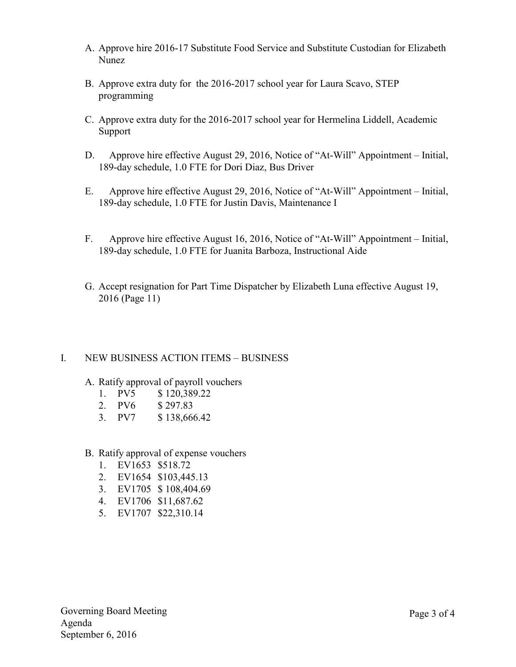- A. Approve hire 2016-17 Substitute Food Service and Substitute Custodian for Elizabeth Nunez
- B. Approve extra duty for the 2016-2017 school year for Laura Scavo, STEP programming
- C. Approve extra duty for the 2016-2017 school year for Hermelina Liddell, Academic Support
- D. Approve hire effective August 29, 2016, Notice of "At-Will" Appointment Initial, 189-day schedule, 1.0 FTE for Dori Diaz, Bus Driver
- E. Approve hire effective August 29, 2016, Notice of "At-Will" Appointment Initial, 189-day schedule, 1.0 FTE for Justin Davis, Maintenance I
- F. Approve hire effective August 16, 2016, Notice of "At-Will" Appointment Initial, 189-day schedule, 1.0 FTE for Juanita Barboza, Instructional Aide
- G. Accept resignation for Part Time Dispatcher by Elizabeth Luna effective August 19, 2016 (Page 11)

## I. NEW BUSINESS ACTION ITEMS – BUSINESS

- A. Ratify approval of payroll vouchers
	- 1. PV5 \$ 120,389.22
	- 2. PV6 \$ 297.83
	- 3. PV7 \$ 138,666.42
- B. Ratify approval of expense vouchers
	- 1. EV1653 \$518.72
	- 2. EV1654 \$103,445.13
	- 3. EV1705 \$ 108,404.69
	- 4. EV1706 \$11,687.62
	- 5. EV1707 \$22,310.14